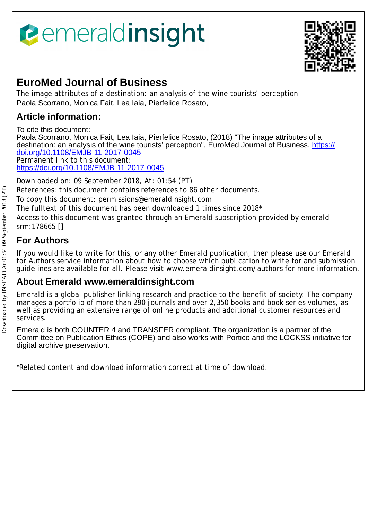# *<u><b>emeraldinsight</u>*



## **EuroMed Journal of Business**

The image attributes of a destination: an analysis of the wine tourists' perception Paola Scorrano, Monica Fait, Lea Iaia, Pierfelice Rosato,

## **Article information:**

To cite this document:

Paola Scorrano, Monica Fait, Lea Iaia, Pierfelice Rosato, (2018) "The image attributes of a destination: an analysis of the wine tourists' perception", EuroMed Journal of Business, [https://](https://doi.org/10.1108/EMJB-11-2017-0045) [doi.org/10.1108/EMJB-11-2017-0045](https://doi.org/10.1108/EMJB-11-2017-0045) Permanent link to this document:

<https://doi.org/10.1108/EMJB-11-2017-0045>

Downloaded on: 09 September 2018, At: 01:54 (PT)

References: this document contains references to 86 other documents.

To copy this document: permissions@emeraldinsight.com

The fulltext of this document has been downloaded 1 times since 2018\*

Access to this document was granted through an Emerald subscription provided by emeraldsrm:178665 []

## **For Authors**

If you would like to write for this, or any other Emerald publication, then please use our Emerald for Authors service information about how to choose which publication to write for and submission guidelines are available for all. Please visit www.emeraldinsight.com/authors for more information.

## **About Emerald www.emeraldinsight.com**

Emerald is a global publisher linking research and practice to the benefit of society. The company manages a portfolio of more than 290 journals and over 2,350 books and book series volumes, as well as providing an extensive range of online products and additional customer resources and services.

Emerald is both COUNTER 4 and TRANSFER compliant. The organization is a partner of the Committee on Publication Ethics (COPE) and also works with Portico and the LOCKSS initiative for digital archive preservation.

\*Related content and download information correct at time of download.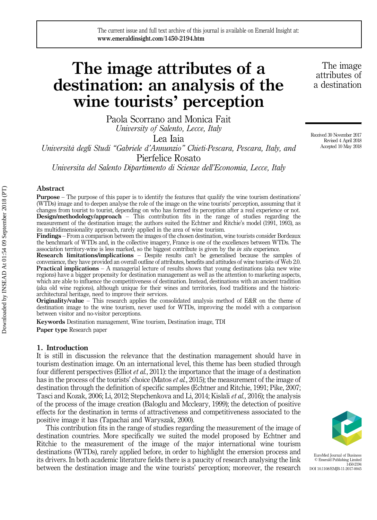The current issue and full text archive of this journal is available on Emerald Insight at: www.emeraldinsight.com/1450-2194.htm

## The image attributes of a destination: an analysis of the wine tourists' perception

Paola Scorrano and Monica Fait University of Salento, Lecce, Italy

Lea Iaia

Università degli Studi "Gabriele d'Annunzio" Chieti-Pescara, Pescara, Italy, and

Pierfelice Rosato

Universita del Salento Dipartimento di Scienze dell'Economia, Lecce, Italy

#### Abstract

Purpose – The purpose of this paper is to identify the features that qualify the wine tourism destinations' (WTDs) image and to deepen analyse the role of the image on the wine tourists' perception, assuming that it changes from tourist to tourist, depending on who has formed its perception after a real experience or not. Design/methodology/approach – This contribution fits in the range of studies regarding the measurement of the destination image; the authors suited the Echtner and Ritchie's model (1991, 1993), as its multidimensionality approach, rarely applied in the area of wine tourism.

Findings – From a comparison between the images of the chosen destination, wine tourists consider Bordeaux the benchmark of WTDs and, in the collective imagery, France is one of the excellences between WTDs. The association territory-wine is less marked, so the biggest contribute is given by the in situ experience.

Research limitations/implications – Despite results can't be generalised because the samples of convenience, they have provided an overall outline of attributes, benefits and attitudes of wine tourists of Web 2.0. **Practical implications** – A managerial lecture of results shows that young destinations (aka new wine regions) have a bigger propensity for destination management as well as the attention to marketing aspects, which are able to influence the competitiveness of destination. Instead, destinations with an ancient tradition (aka old wine regions), although unique for their wines and territories, food traditions and the historicarchitectural heritage, need to improve their services.

Originality/value – This research applies the consolidated analysis method of E&R on the theme of destination image to the wine tourism, never used for WTDs, improving the model with a comparison between visitor and no-visitor perceptions.

Keywords Destination management, Wine tourism, Destination image, TDI

Paper type Research paper

#### 1. Introduction

It is still in discussion the relevance that the destination management should have in tourism destination image. On an international level, this theme has been studied through four different perspectives (Elliot *et al.*, 2011): the importance that the image of a destination has in the process of the tourists' choice (Matos *et al.*, 2015); the measurement of the image of destination through the definition of specific samples (Echtner and Ritchie, 1991; Pike, 2007; Tasci and Kozak, 2006; Li, 2012; Stepchenkova and Li, 2014; Kislali et al., 2016); the analysis of the process of the image creation (Baloglu and Mccleary, 1999); the detection of positive effects for the destination in terms of attractiveness and competitiveness associated to the positive image it has (Tapachai and Waryszak, 2000).

This contribution fits in the range of studies regarding the measurement of the image of destination countries. More specifically we suited the model proposed by Echtner and Ritchie to the measurement of the image of the major international wine tourism destinations (WTDs), rarely applied before, in order to highlight the emersion process and its drivers. In both academic literature fields there is a paucity of research analysing the link between the destination image and the wine tourists' perception; moreover, the research

EuroMed Journal of Business © Emerald Publishing Limited 1450-2194 DOI 10.1108/EMJB-11-2017-0045

Received 30 November 2017

The image attributes of a destination

Revised 4 April 2018 Accepted 10 May 2018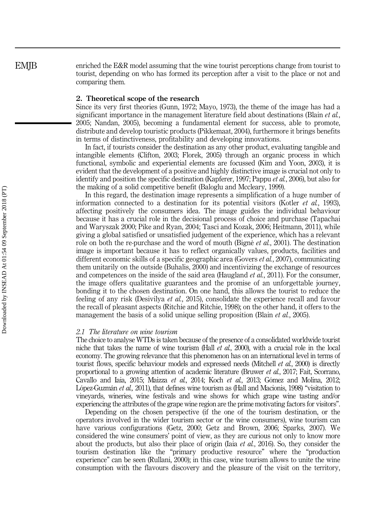enriched the E&R model assuming that the wine tourist perceptions change from tourist to tourist, depending on who has formed its perception after a visit to the place or not and comparing them.

#### 2. Theoretical scope of the research

Since its very first theories (Gunn, 1972; Mayo, 1973), the theme of the image has had a significant importance in the management literature field about destinations (Blain *et al.*, 2005; Nandan, 2005), becoming a fundamental element for success, able to promote, distribute and develop touristic products (Pikkemaat, 2004), furthermore it brings benefits in terms of distinctiveness, profitability and developing innovations.

In fact, if tourists consider the destination as any other product, evaluating tangible and intangible elements (Clifton, 2003; Florek, 2005) through an organic process in which functional, symbolic and experiential elements are focussed (Kim and Yoon, 2003), it is evident that the development of a positive and highly distinctive image is crucial not only to identify and position the specific destination (Kapferer, 1997; Pappu et al., 2006), but also for the making of a solid competitive benefit (Baloglu and Mccleary, 1999).

In this regard, the destination image represents a simplification of a huge number of information connected to a destination for its potential visitors (Kotler  $et \ al.$ , 1993), affecting positively the consumers idea. The image guides the individual behaviour because it has a crucial role in the decisional process of choice and purchase (Tapachai and Waryszak 2000; Pike and Ryan, 2004; Tasci and Kozak, 2006; Heitmann, 2011), while giving a global satisfied or unsatisfied judgement of the experience, which has a relevant role on both the re-purchase and the word of mouth (Bignè *et al.*, 2001). The destination image is important because it has to reflect organically values, products, facilities and different economic skills of a specific geographic area (Govers et al., 2007), communicating them unitarily on the outside (Buhalis, 2000) and incentivizing the exchange of resources and competences on the inside of the said area (Haugland *et al.*, 2011). For the consumer, the image offers qualitative guarantees and the promise of an unforgettable journey, bonding it to the chosen destination. On one hand, this allows the tourist to reduce the feeling of any risk (Desivilya et al., 2015), consolidate the experience recall and favour the recall of pleasant aspects (Ritchie and Ritchie, 1998); on the other hand, it offers to the management the basis of a solid unique selling proposition (Blain *et al.*, 2005).

#### 2.1 The literature on wine tourism

The choice to analyse WTDs is taken because of the presence of a consolidated worldwide tourist niche that takes the name of wine tourism (Hall et al., 2000), with a crucial role in the local economy. The growing relevance that this phenomenon has on an international level in terms of tourist flows, specific behaviour models and expressed needs (Mitchell et al., 2000) is directly proportional to a growing attention of academic literature (Bruwer et al., 2017; Fait, Scorrano, Cavallo and Iaia, 2015; Maizza et al., 2014; Koch et al., 2013; Gómez and Molina, 2012; López-Guzmán et al., 2011), that defines wine tourism as (Hall and Macionis, 1998) "visitation to vineyards, wineries, wine festivals and wine shows for which grape wine tasting and/or experiencing the attributes of the grape wine region are the prime motivating factors for visitors".

Depending on the chosen perspective (if the one of the tourism destination, or the operators involved in the wider tourism sector or the wine consumers), wine tourism can have various configurations (Getz, 2000; Getz and Brown, 2006; Sparks, 2007). We considered the wine consumers' point of view, as they are curious not only to know more about the products, but also their place of origin (Iaia  $et$  al., 2016). So, they consider the tourism destination like the "primary productive resource" where the "production experience" can be seen (Rullani, 2000); in this case, wine tourism allows to unite the wine consumption with the flavours discovery and the pleasure of the visit on the territory,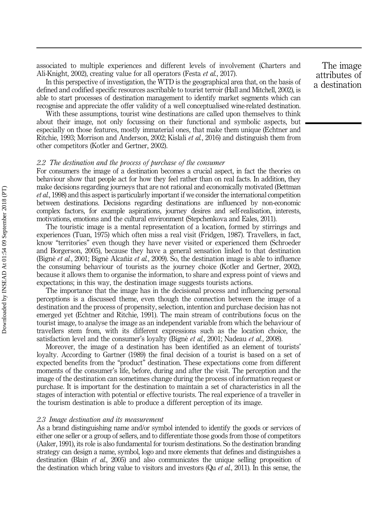associated to multiple experiences and different levels of involvement (Charters and Ali-Knight, 2002), creating value for all operators (Festa *et al.*, 2017).

In this perspective of investigation, the WTD is the geographical area that, on the basis of defined and codified specific resources ascribable to tourist terroir (Hall and Mitchell, 2002), is able to start processes of destination management to identify market segments which can recognise and appreciate the offer validity of a well conceptualised wine-related destination.

With these assumptions, tourist wine destinations are called upon themselves to think about their image, not only focussing on their functional and symbolic aspects, but especially on those features, mostly immaterial ones, that make them unique (Echtner and Ritchie, 1993; Morrison and Anderson, 2002; Kislali et al., 2016) and distinguish them from other competitors (Kotler and Gertner, 2002).

#### 2.2 The destination and the process of purchase of the consumer

For consumers the image of a destination becomes a crucial aspect, in fact the theories on behaviour show that people act for how they feel rather than on real facts. In addition, they make decisions regarding journeys that are not rational and economically motivated (Bettman et al., 1998) and this aspect is particularly important if we consider the international competition between destinations. Decisions regarding destinations are influenced by non-economic complex factors, for example aspirations, journey desires and self-realisation, interests, motivations, emotions and the cultural environment (Stepchenkova and Eales, 2011).

The touristic image is a mental representation of a location, formed by stirrings and experiences (Tuan, 1975) which often miss a real visit (Fridgen, 1987). Travellers, in fact, know "territories" even though they have never visited or experienced them (Schroeder and Borgerson, 2005), because they have a general sensation linked to that destination (Bignè et al., 2001; Bignè Alcañiz et al., 2009). So, the destination image is able to influence the consuming behaviour of tourists as the journey choice (Kotler and Gertner, 2002), because it allows them to organise the information, to share and express point of views and expectations; in this way, the destination image suggests tourists actions.

The importance that the image has in the decisional process and influencing personal perceptions is a discussed theme, even though the connection between the image of a destination and the process of propensity, selection, intention and purchase decision has not emerged yet (Echtner and Ritchie, 1991). The main stream of contributions focus on the tourist image, to analyse the image as an independent variable from which the behaviour of travellers stem from, with its different expressions such as the location choice, the satisfaction level and the consumer's loyalty (Bignè *et al.*, 2001; Nadeau *et al.*, 2008).

Moreover, the image of a destination has been identified as an element of tourists' loyalty. According to Gartner (1989) the final decision of a tourist is based on a set of expected benefits from the "product" destination. These expectations come from different moments of the consumer's life, before, during and after the visit. The perception and the image of the destination can sometimes change during the process of information request or purchase. It is important for the destination to maintain a set of characteristics in all the stages of interaction with potential or effective tourists. The real experience of a traveller in the tourism destination is able to produce a different perception of its image.

#### 2.3 Image destination and its measurement

As a brand distinguishing name and/or symbol intended to identify the goods or services of either one seller or a group of sellers, and to differentiate those goods from those of competitors (Aaker, 1991), its role is also fundamental for tourism destinations. So the destination branding strategy can design a name, symbol, logo and more elements that defines and distinguishes a destination (Blain *et al.*, 2005) and also communicates the unique selling proposition of the destination which bring value to visitors and investors (Qu *et al.*, 2011). In this sense, the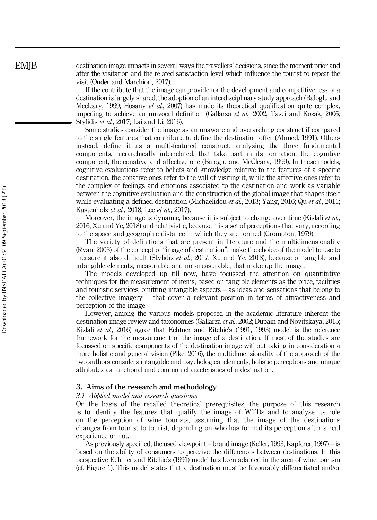destination image impacts in several ways the travellers' decisions, since the moment prior and after the visitation and the related satisfaction level which influence the tourist to repeat the visit (Önder and Marchiori, 2017).

If the contribute that the image can provide for the development and competitiveness of a destination is largely shared, the adoption of an interdisciplinary study approach (Baloglu and Mccleary, 1999; Hosany *et al.*, 2007) has made its theoretical qualification quite complex, impeding to achieve an univocal definition (Gallarza et al., 2002; Tasci and Kozak, 2006; Stylidis et al., 2017; Lai and Li, 2016).

Some studies consider the image as an unaware and overarching construct if compared to the single features that contribute to define the destination offer (Ahmed, 1991). Others instead, define it as a multi-featured construct, analysing the three fundamental components, hierarchically interrelated, that take part in its formation: the cognitive component, the conative and affective one (Baloglu and McCleary, 1999). In these models, cognitive evaluations refer to beliefs and knowledge relative to the features of a specific destination, the conative ones refer to the will of visiting it, while the affective ones refer to the complex of feelings and emotions associated to the destination and work as variable between the cognitive evaluation and the construction of the global image that shapes itself while evaluating a defined destination (Michaelidou *et al.*, 2013; Yang, 2016; Qu *et al.*, 2011; Kastenholz et al., 2018; Lee et al., 2017).

Moreover, the image is dynamic, because it is subject to change over time (Kislali *et al.*, 2016; Xu and Ye, 2018) and relativistic, because it is a set of perceptions that vary, according to the space and geographic distance in which they are formed (Crompton, 1979).

The variety of definitions that are present in literature and the multidimensionality (Ryan, 2003) of the concept of "image of destination", make the choice of the model to use to measure it also difficult (Stylidis et al., 2017; Xu and Ye, 2018), because of tangible and intangible elements, measurable and not-measurable, that make up the image.

The models developed up till now, have focussed the attention on quantitative techniques for the measurement of items, based on tangible elements as the price, facilities and touristic services, omitting intangible aspects – as ideas and sensations that belong to the collective imagery – that cover a relevant position in terms of attractiveness and perception of the image.

However, among the various models proposed in the academic literature inherent the destination image review and taxonomies (Gallarza et al., 2002; Dupain and Novitskaya, 2015; Kislali et al., 2016) agree that Echtner and Ritchie's (1991, 1993) model is the reference framework for the measurement of the image of a destination. If most of the studies are focussed on specific components of the destination image without taking in consideration a more holistic and general vision (Pike, 2016), the multidimensionality of the approach of the two authors considers intangible and psychological elements, holistic perceptions and unique attributes as functional and common characteristics of a destination.

#### 3. Aims of the research and methodology

#### 3.1 Applied model and research questions

On the basis of the recalled theoretical prerequisites, the purpose of this research is to identify the features that qualify the image of WTDs and to analyse its role on the perception of wine tourists, assuming that the image of the destinations changes from tourist to tourist, depending on who has formed its perception after a real experience or not.

As previously specified, the used viewpoint – brand image (Keller, 1993; Kapferer, 1997) – is based on the ability of consumers to perceive the differences between destinations. In this perspective Echtner and Ritchie's (1991) model has been adapted in the area of wine tourism (cf. Figure 1). This model states that a destination must be favourably differentiated and/or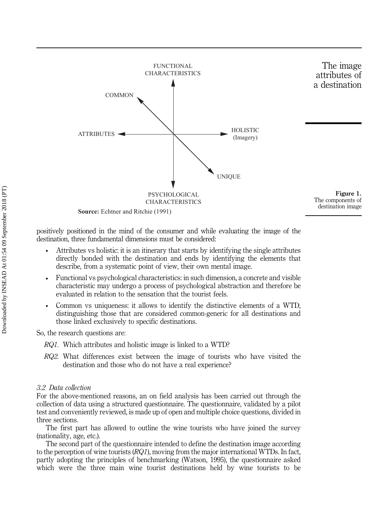

positively positioned in the mind of the consumer and while evaluating the image of the destination, three fundamental dimensions must be considered:

- Attributes vs holistic: it is an itinerary that starts by identifying the single attributes directly bonded with the destination and ends by identifying the elements that describe, from a systematic point of view, their own mental image.
- Functional vs psychological characteristics: in such dimension, a concrete and visible characteristic may undergo a process of psychological abstraction and therefore be evaluated in relation to the sensation that the tourist feels.
- Common vs uniqueness: it allows to identify the distinctive elements of a WTD, distinguishing those that are considered common-generic for all destinations and those linked exclusively to specific destinations.

So, the research questions are:

RQ1. Which attributes and holistic image is linked to a WTD?

RQ2. What differences exist between the image of tourists who have visited the destination and those who do not have a real experience?

#### 3.2 Data collection

For the above-mentioned reasons, an on field analysis has been carried out through the collection of data using a structured questionnaire. The questionnaire, validated by a pilot test and conveniently reviewed, is made up of open and multiple choice questions, divided in three sections.

The first part has allowed to outline the wine tourists who have joined the survey (nationality, age, etc.).

The second part of the questionnaire intended to define the destination image according to the perception of wine tourists  $(RQ1)$ , moving from the major international WTDs. In fact, partly adopting the principles of benchmarking (Watson, 1995), the questionnaire asked which were the three main wine tourist destinations held by wine tourists to be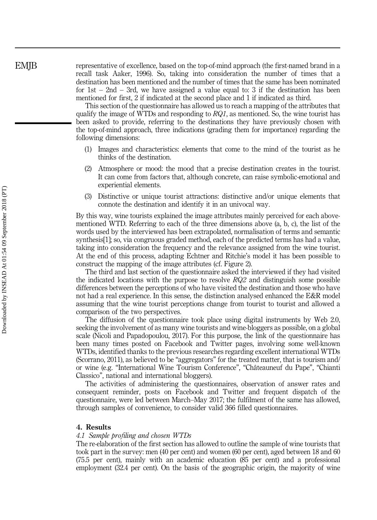representative of excellence, based on the top-of-mind approach (the first-named brand in a recall task Aaker, 1996). So, taking into consideration the number of times that a destination has been mentioned and the number of times that the same has been nominated for  $1st - 2nd - 3rd$ , we have assigned a value equal to: 3 if the destination has been mentioned for first, 2 if indicated at the second place and 1 if indicated as third.

This section of the questionnaire has allowed us to reach a mapping of the attributes that qualify the image of WTDs and responding to  $RQ1$ , as mentioned. So, the wine tourist has been asked to provide, referring to the destinations they have previously chosen with the top-of-mind approach, three indications (grading them for importance) regarding the following dimensions:

- (1) Images and characteristics: elements that come to the mind of the tourist as he thinks of the destination.
- (2) Atmosphere or mood: the mood that a precise destination creates in the tourist. It can come from factors that, although concrete, can raise symbolic-emotional and experiential elements.
- (3) Distinctive or unique tourist attractions: distinctive and/or unique elements that connote the destination and identify it in an univocal way.

By this way, wine tourists explained the image attributes mainly perceived for each abovementioned WTD. Referring to each of the three dimensions above (a, b, c), the list of the words used by the interviewed has been extrapolated, normalisation of terms and semantic synthesis[1]; so, via congruous graded method, each of the predicted terms has had a value, taking into consideration the frequency and the relevance assigned from the wine tourist. At the end of this process, adapting Echtner and Ritchie's model it has been possible to construct the mapping of the image attributes (cf. Figure 2).

The third and last section of the questionnaire asked the interviewed if they had visited the indicated locations with the purpose to resolve  $RQ2$  and distinguish some possible differences between the perceptions of who have visited the destination and those who have not had a real experience. In this sense, the distinction analysed enhanced the E&R model assuming that the wine tourist perceptions change from tourist to tourist and allowed a comparison of the two perspectives.

The diffusion of the questionnaire took place using digital instruments by Web 2.0, seeking the involvement of as many wine tourists and wine-bloggers as possible, on a global scale (Nicoli and Papadopoulou, 2017). For this purpose, the link of the questionnaire has been many times posted on Facebook and Twitter pages, involving some well-known WTDs, identified thanks to the previous researches regarding excellent international WTDs (Scorrano, 2011), as believed to be "aggregators" for the treated matter, that is tourism and/ or wine (e.g. "International Wine Tourism Conference", "Châteauneuf du Pape", "Chianti Classico", national and international bloggers).

The activities of administering the questionnaires, observation of answer rates and consequent reminder, posts on Facebook and Twitter and frequent dispatch of the questionnaire, were led between March–May 2017; the fulfilment of the same has allowed, through samples of convenience, to consider valid 366 filled questionnaires.

#### 4. Results

#### 4.1 Sample profiling and chosen WTDs

The re-elaboration of the first section has allowed to outline the sample of wine tourists that took part in the survey: men (40 per cent) and women (60 per cent), aged between 18 and 60 (75.5 per cent), mainly with an academic education (85 per cent) and a professional employment (32.4 per cent). On the basis of the geographic origin, the majority of wine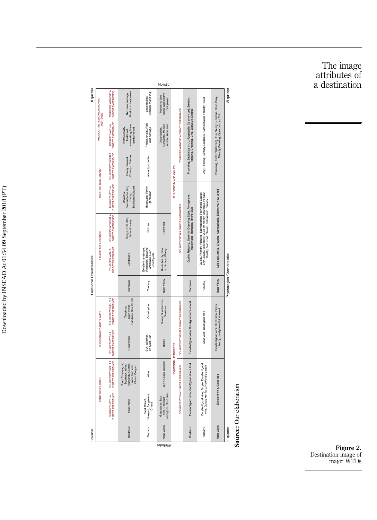Downloaded by INSEAD At 01:54 09 September 2018 (PT) Downloaded by INSEAD At 01:54 09 September 2018 (PT)

|                                          | Holistic                                       |                                                   |                                                                                                  |                                                                                   |                                                           |                            |                                            |                                                                                                                 |                                                                                                                                                                                              |                                                                                                           |                                    |
|------------------------------------------|------------------------------------------------|---------------------------------------------------|--------------------------------------------------------------------------------------------------|-----------------------------------------------------------------------------------|-----------------------------------------------------------|----------------------------|--------------------------------------------|-----------------------------------------------------------------------------------------------------------------|----------------------------------------------------------------------------------------------------------------------------------------------------------------------------------------------|-----------------------------------------------------------------------------------------------------------|------------------------------------|
| Il quarter<br>Functional Characteristics | PRODUCTIVE AND ORGANITIONAL<br><b>HERITAGE</b> | TOURISTS WITHOUT A<br>DIRECT EXPERIENCE           | Product enhancement<br>Rich wine heritage,                                                       | Excellent marketing<br>Local festival.                                            | world, Competitive<br>Marketing, New<br>new player        | SENTWORK AHAOSOTHE         | <b>OURISTS WITHOUT A DIRECT EXPERIENCE</b> | Promising, Sophistication, Unforgettable, Open minded, Emotion,<br>Relaxing, Charming, Chic, Exclusive, Serious | Joy, Relaxing, Serenity, Laid back, Sophisticated, Friendly, Proud                                                                                                                           | Promising, Exotic, Welcoming, Fun, Young, Luminous, Crisp, Busy,<br>Friendly, Relaxing, Open minded, Chic | VI quarter                         |
|                                          |                                                | DIRECT EXPERIENCE<br>TOURISTS WITH A              | vinemaking, Many<br>Professionality,<br>quided visited<br>Traditional                            | Professionality, Rich<br>wine heritage                                            | Corporate, Modern<br>lourism. Wine train<br>Organization, |                            |                                            |                                                                                                                 |                                                                                                                                                                                              |                                                                                                           |                                    |
|                                          | CULTURE AND HISTORY                            | TOURISTS WITHOUT A<br>DIRECT EXPERIENCE           | Chateaux, Culture<br>Family or lented,                                                           | Ancient properties                                                                |                                                           |                            |                                            |                                                                                                                 |                                                                                                                                                                                              |                                                                                                           |                                    |
|                                          |                                                | DIRECT EXPERIENCE<br>TOURISTS WITH A              | Famous/interesting<br><b>Traditional/cultured</b><br>Chateaux,<br>history                        | History/old, Family<br>generation                                                 | ï                                                         |                            | OURISTS WITH A DIRECT EXPERIENCE           | Quality, Relaxing, Serenity, Charming, Style, Atmosphere,<br>Passionated, Romanto, Rhone Style                  | Quality, Friendly, Relaxing, Sophistication, Fashioned, Classic.<br>Enthusiastic, Availability, Value for money, Atfordable, Popular,<br>Quality, Fashioned, Classic, Enthusiastic, Friendly | Laid back, Active, Crowded, Approachable, Expensive, New varied                                           | Psychological Characteristics      |
|                                          | LAND SCAPE HERITAGE                            | TOURISTSWITHOUT A<br>DIRECT EXPERIENCE            | Village, Coté d'Or,<br>Natural beauty                                                            | Hill town                                                                         | <b>POLIVILOOD</b>                                         |                            |                                            |                                                                                                                 |                                                                                                                                                                                              |                                                                                                           |                                    |
|                                          |                                                | <b>JIRECT EXPERIENCE</b><br>TOURISTS WITH A       | Landscape                                                                                        | Rolling hill, Beautiful<br>Excellent landscape.<br>landscape, Lush<br>countryside | Rustic beauty, Nice<br>landscape, Winery                  |                            |                                            |                                                                                                                 |                                                                                                                                                                                              |                                                                                                           |                                    |
|                                          |                                                |                                                   | Bordeaux                                                                                         | Tuscany                                                                           | Napa Valley                                               |                            |                                            | <b>Bordeaux</b>                                                                                                 | Tuscany                                                                                                                                                                                      | Napa Valley                                                                                               |                                    |
|                                          | PHISIOGRAPHY AND CLIMATE                       | TOURISTS WITHOUT A<br>DIRECT EXPERIENCE           | Sunshine, Sea, Beach<br>Countryside,<br>Terroir-cru,                                             | Countryside                                                                       | Sunny, Sun Summer,<br>Sunshine                            | <b>MOTIONAL ATTRIBUTES</b> | TOURISTS WITHOUT A DIRECT EXPERIENCE       | Excellent/good wine, Good/great wine e food                                                                     | Good wine, Good/great food                                                                                                                                                                   | Excellent/good wine, Good wine, Family<br>friendly, Lovely/beautiful vineyard                             |                                    |
|                                          |                                                | DIRECT EXPERIENCE<br>TOURISTS WITH A              | Countryside,                                                                                     | Sun, Weather,<br>Vineyard, Sun                                                    | Nature                                                    |                            |                                            |                                                                                                                 |                                                                                                                                                                                              |                                                                                                           |                                    |
|                                          | <b>CORE RESOURCES</b>                          | TOURISTS WITHOUT A<br>DIRECT EXPERIENCE           | Burgundy, Castels,<br>Grape, Red wine,<br>-ood, Champagne<br>Bordeaux, Wine,<br>Claret, Vineyard | Wine                                                                              | Wine, Grape vineyard                                      |                            | TOURISTS WITH A DIRECT EXPERIENCE          | Excellent/good wine, Good/great wine e1ood                                                                      | Excellent/good wine, People, Excellent/good<br>wine, Good/great food, Nice/lovely people                                                                                                     | Excellent wine, Good food                                                                                 |                                    |
|                                          |                                                | <b>JIRECT EXPERIENCE</b><br><b>TOURISTS WITHA</b> | Food, Wine                                                                                       | Vineyard, Sangiovese,<br>Food, Chianti,<br>Chian1                                 | sauvignon, Opus one<br>Grapecrops, Bold<br>wine, Cabernet |                            |                                            |                                                                                                                 |                                                                                                                                                                                              |                                                                                                           | ;<br>;<br>$\overline{\phantom{a}}$ |
| quarter                                  |                                                |                                                   | Bordeaux                                                                                         | Tuscany                                                                           | Napa Valley                                               |                            |                                            | Bordeaux                                                                                                        | Tuscany                                                                                                                                                                                      | Napa Valley                                                                                               | Il quarter                         |
|                                          |                                                |                                                   |                                                                                                  |                                                                                   | Attributes                                                |                            |                                            |                                                                                                                 |                                                                                                                                                                                              |                                                                                                           | l                                  |

Source: Our elaboration **Source:** Our elaboration

The image attributes of a destination

Destination image of major WTDs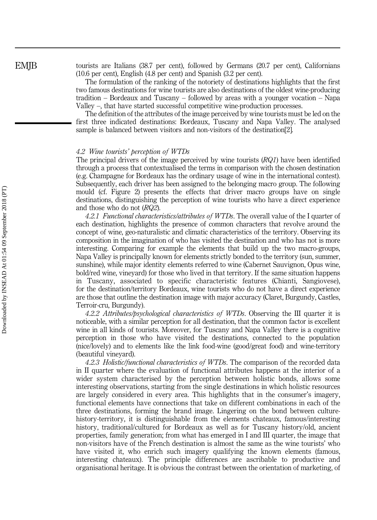EMJB

tourists are Italians (38.7 per cent), followed by Germans (20.7 per cent), Californians (10.6 per cent), English (4.8 per cent) and Spanish (3.2 per cent).

The formulation of the ranking of the notoriety of destinations highlights that the first two famous destinations for wine tourists are also destinations of the oldest wine-producing tradition – Bordeaux and Tuscany – followed by areas with a younger vocation – Napa Valley –, that have started successful competitive wine-production processes.

The definition of the attributes of the image perceived by wine tourists must be led on the first three indicated destinations: Bordeaux, Tuscany and Napa Valley. The analysed sample is balanced between visitors and non-visitors of the destination[2].

#### 4.2 Wine tourists' perception of WTDs

The principal drivers of the image perceived by wine tourists  $(RQ1)$  have been identified through a process that contextualised the terms in comparison with the chosen destination (e.g. Champagne for Bordeaux has the ordinary usage of wine in the international contest). Subsequently, each driver has been assigned to the belonging macro group. The following mould (cf. Figure 2) presents the effects that driver macro groups have on single destinations, distinguishing the perception of wine tourists who have a direct experience and those who do not (RQ2).

4.2.1 Functional characteristics/attributes of WTDs. The overall value of the I quarter of each destination, highlights the presence of common characters that revolve around the concept of wine, geo-naturalistic and climatic characteristics of the territory. Observing its composition in the imagination of who has visited the destination and who has not is more interesting. Comparing for example the elements that build up the two macro-groups, Napa Valley is principally known for elements strictly bonded to the territory (sun, summer, sunshine), while major identity elements referred to wine (Cabernet Sauvignon, Opus wine, bold/red wine, vineyard) for those who lived in that territory. If the same situation happens in Tuscany, associated to specific characteristic features (Chianti, Sangiovese), for the destination/territory Bordeaux, wine tourists who do not have a direct experience are those that outline the destination image with major accuracy (Claret, Burgundy, Castles, Terroir-cru, Burgundy).

4.2.2 Attributes/psychological characteristics of WTDs. Observing the III quarter it is noticeable, with a similar perception for all destination, that the common factor is excellent wine in all kinds of tourists. Moreover, for Tuscany and Napa Valley there is a cognitive perception in those who have visited the destinations, connected to the population (nice/lovely) and to elements like the link food-wine (good/great food) and wine-territory (beautiful vineyard).

4.2.3 Holistic/functional characteristics of WTDs. The comparison of the recorded data in II quarter where the evaluation of functional attributes happens at the interior of a wider system characterised by the perception between holistic bonds, allows some interesting observations, starting from the single destinations in which holistic resources are largely considered in every area. This highlights that in the consumer's imagery, functional elements have connections that take on different combinations in each of the three destinations, forming the brand image. Lingering on the bond between culturehistory-territory, it is distinguishable from the elements chateaux, famous/interesting history, traditional/cultured for Bordeaux as well as for Tuscany history/old, ancient properties, family generation; from what has emerged in I and III quarter, the image that non-visitors have of the French destination is almost the same as the wine tourists' who have visited it, who enrich such imagery qualifying the known elements (famous, interesting chateaux). The principle differences are ascribable to productive and organisational heritage. It is obvious the contrast between the orientation of marketing, of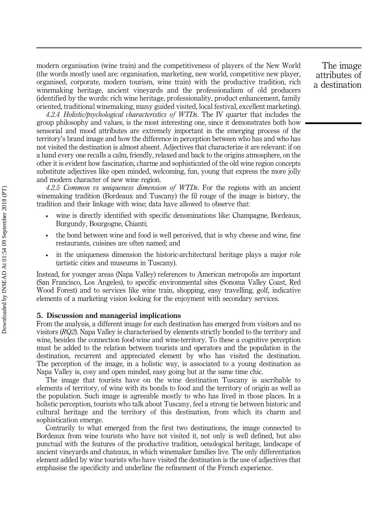modern organisation (wine train) and the competitiveness of players of the New World (the words mostly used are: organisation, marketing, new world, competitive new player, organised, corporate, modern tourism, wine train) with the productive tradition, rich winemaking heritage, ancient vineyards and the professionalism of old producers (identified by the words: rich wine heritage, professionality, product enhancement, family oriented, traditional winemaking, many guided visited, local festival, excellent marketing).

4.2.4 Holistic/psychological characteristics of WTDs. The IV quarter that includes the group philosophy and values, is the most interesting one, since it demonstrates both how sensorial and mood attributes are extremely important in the emerging process of the territory's brand image and how the difference in perception between who has and who has not visited the destination is almost absent. Adjectives that characterize it are relevant: if on a hand every one recalls a calm, friendly, relaxed and back to the origins atmosphere, on the other it is evident how fascination, charme and sophisticated of the old wine region concepts substitute adjectives like open minded, welcoming, fun, young that express the more jolly and modern character of new wine region.

4.2.5 Common vs uniqueness dimension of WTDs. For the regions with an ancient winemaking tradition (Bordeaux and Tuscany) the fil rouge of the image is history, the tradition and their linkage with wine; data have allowed to observe that:

- wine is directly identified with specific denominations like: Champagne, Bordeaux, Burgundy, Bourgogne, Chianti;
- the bond between wine and food is well perceived, that is why cheese and wine, fine restaurants, cuisines are often named; and
- in the uniqueness dimension the historic-architectural heritage plays a major role (artistic cities and museums in Tuscany).

Instead, for younger areas (Napa Valley) references to American metropolis are important (San Francisco, Los Angeles), to specific environmental sites (Sonoma Valley Coast, Red Wood Forest) and to services like wine train, shopping, easy travelling, golf, indicative elements of a marketing vision looking for the enjoyment with secondary services.

#### 5. Discussion and managerial implications

From the analysis, a different image for each destination has emerged from visitors and no visitors (RQ2). Napa Valley is characterised by elements strictly bonded to the territory and wine, besides the connection food-wine and wine-territory. To these a cognitive perception must be added to the relation between tourists and operators and the population in the destination, recurrent and appreciated element by who has visited the destination. The perception of the image, in a holistic way, is associated to a young destination as Napa Valley is, cosy and open minded, easy going but at the same time chic.

The image that tourists have on the wine destination Tuscany is ascribable to elements of territory, of wine with its bonds to food and the territory of origin as well as the population. Such image is agreeable mostly to who has lived in those places. In a holistic perception, tourists who talk about Tuscany, feel a strong tie between historic and cultural heritage and the territory of this destination, from which its charm and sophistication emerge.

Contrarily to what emerged from the first two destinations, the image connected to Bordeaux from wine tourists who have not visited it, not only is well defined, but also punctual with the features of the productive tradition, oenological heritage, landscape of ancient vineyards and chateaux, in which winemaker families live. The only differentiation element added by wine tourists who have visited the destination is the use of adjectives that emphasise the specificity and underline the refinement of the French experience.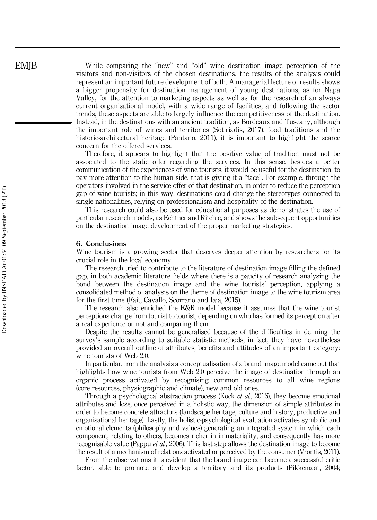While comparing the "new" and "old" wine destination image perception of the visitors and non-visitors of the chosen destinations, the results of the analysis could represent an important future development of both. A managerial lecture of results shows a bigger propensity for destination management of young destinations, as for Napa Valley, for the attention to marketing aspects as well as for the research of an always current organisational model, with a wide range of facilities, and following the sector trends; these aspects are able to largely influence the competitiveness of the destination. Instead, in the destinations with an ancient tradition, as Bordeaux and Tuscany, although the important role of wines and territories (Sotiriadis, 2017), food traditions and the historic-architectural heritage (Pantano, 2011), it is important to highlight the scarce concern for the offered services.

Therefore, it appears to highlight that the positive value of tradition must not be associated to the static offer regarding the services. In this sense, besides a better communication of the experiences of wine tourists, it would be useful for the destination, to pay more attention to the human side, that is giving it a "face". For example, through the operators involved in the service offer of that destination, in order to reduce the perception gap of wine tourists; in this way, destinations could change the stereotypes connected to single nationalities, relying on professionalism and hospitality of the destination.

This research could also be used for educational purposes as demonstrates the use of particular research models, as Echtner and Ritchie, and shows the subsequent opportunities on the destination image development of the proper marketing strategies.

#### 6. Conclusions

Wine tourism is a growing sector that deserves deeper attention by researchers for its crucial role in the local economy.

The research tried to contribute to the literature of destination image filling the defined gap, in both academic literature fields where there is a paucity of research analysing the bond between the destination image and the wine tourists' perception, applying a consolidated method of analysis on the theme of destination image to the wine tourism area for the first time (Fait, Cavallo, Scorrano and Iaia, 2015).

The research also enriched the E&R model because it assumes that the wine tourist perceptions change from tourist to tourist, depending on who has formed its perception after a real experience or not and comparing them.

Despite the results cannot be generalised because of the difficulties in defining the survey's sample according to suitable statistic methods, in fact, they have nevertheless provided an overall outline of attributes, benefits and attitudes of an important category: wine tourists of Web 2.0.

In particular, from the analysis a conceptualisation of a brand image model came out that highlights how wine tourists from Web 2.0 perceive the image of destination through an organic process activated by recognising common resources to all wine regions (core resources, physiographic and climate), new and old ones.

Through a psychological abstraction process (Kock *et al.*, 2016), they become emotional attributes and lose, once perceived in a holistic way, the dimension of simple attributes in order to become concrete attractors (landscape heritage, culture and history, productive and organisational heritage). Lastly, the holistic-psychological evaluation activates symbolic and emotional elements (philosophy and values) generating an integrated system in which each component, relating to others, becomes richer in immateriality, and consequently has more recognisable value (Pappu et al., 2006). This last step allows the destination image to become the result of a mechanism of relations activated or perceived by the consumer (Vrontis, 2011).

From the observations it is evident that the brand image can become a successful critic factor, able to promote and develop a territory and its products (Pikkemaat, 2004;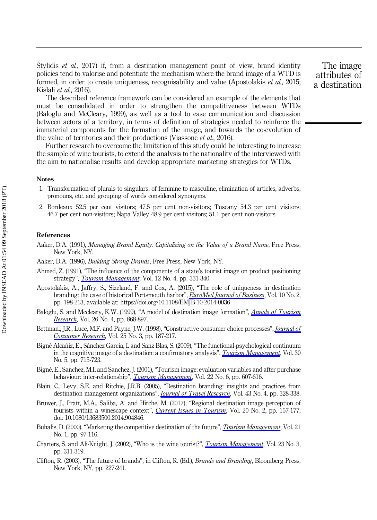Stylidis et al., 2017) if, from a destination management point of view, brand identity policies tend to valorise and potentiate the mechanism where the brand image of a WTD is formed, in order to create uniqueness, recognisability and value (Apostolakis et al., 2015; Kislali et al., 2016).

The described reference framework can be considered an example of the elements that must be consolidated in order to strengthen the competitiveness between WTDs (Baloglu and McCleary, 1999), as well as a tool to ease communication and discussion between actors of a territory, in terms of definition of strategies needed to reinforce the immaterial components for the formation of the image, and towards the co-evolution of the value of territories and their productions (Viassone *et al.*, 2016).

Further research to overcome the limitation of this study could be interesting to increase the sample of wine tourists, to extend the analysis to the nationality of the interviewed with the aim to nationalise results and develop appropriate marketing strategies for WTDs.

#### Notes

- 1. Transformation of plurals to singulars, of feminine to masculine, elimination of articles, adverbs, pronouns, etc. and grouping of words considered synonyms.
- 2. Bordeaux 52.5 per cent visitors; 47.5 per cent non-visitors; Tuscany 54.3 per cent visitors; 46.7 per cent non-visitors; Napa Valley 48.9 per cent visitors; 51.1 per cent non-visitors.

#### References

- Aaker, D.A. (1991), Managing Brand Equity: Capitalizing on the Value of a Brand Name, Free Press, New York, NY.
- Aaker, D.A. (1996), *Building Strong Brands*, Free Press, New York, NY.
- Ahmed, Z. (1991), "The influence of the components of a state's tourist image on product positioning strategy", [Tourism Management](https://www.emeraldinsight.com/action/showLinks?doi=10.1108%2FEMJB-11-2017-0045&crossref=10.1016%2F0261-5177%2891%2990045-U&citationId=p_3), Vol. 12 No. 4, pp. 331-340.
- Apostolakis, A., Jaffry, S., Sizeland, F. and Cox, A. (2015), "The role of uniqueness in destination branding: the case of historical Portsmouth harbor", *[EuroMed Journal of Business](https://www.emeraldinsight.com/action/showLinks?doi=10.1108%2FEMJB-11-2017-0045&system=10.1108%2FEMJB-10-2014-0036&isi=000397107100005&citationId=p_4)*, Vol. 10 No. 2, pp. 198-213, available at:<https://doi.org/10.1108/EMJB-10-2014-0036>
- Baloglu, S. and Mccleary, K.W. (1999), "A model of destination image formation", [Annals of Tourism](https://www.emeraldinsight.com/action/showLinks?doi=10.1108%2FEMJB-11-2017-0045&crossref=10.1016%2FS0160-7383%2899%2900030-4&isi=000082754200006&citationId=p_5) [Research](https://www.emeraldinsight.com/action/showLinks?doi=10.1108%2FEMJB-11-2017-0045&crossref=10.1016%2FS0160-7383%2899%2900030-4&isi=000082754200006&citationId=p_5), Vol. 26 No. 4, pp. 868-897.
- Bettman., J.R., Luce, M.F. and Payne, J.W. (1998), "Constructive consumer choice processes", *[Journal of](https://www.emeraldinsight.com/action/showLinks?doi=10.1108%2FEMJB-11-2017-0045&crossref=10.1086%2F209535&isi=000077542600001&citationId=p_6)* [Consumer Research](https://www.emeraldinsight.com/action/showLinks?doi=10.1108%2FEMJB-11-2017-0045&crossref=10.1086%2F209535&isi=000077542600001&citationId=p_6), Vol. 25 No. 3, pp. 187-217.
- Bignè Alcañiz, E., Sánchez García, I. and Sanz Blas, S. (2009), "The functional-psychological continuum in the cognitive image of a destination: a confirmatory analysis", *[Tourism Management](https://www.emeraldinsight.com/action/showLinks?doi=10.1108%2FEMJB-11-2017-0045&crossref=10.1016%2Fj.tourman.2008.10.020&isi=000267725600011&citationId=p_7)*, Vol. 30 No. 5, pp. 715-723.
- Bignè, E., Sanchez, M.I. and Sanchez, J. (2001), "Tourism image: evaluation variables and after purchase behaviour: inter-relationship", *[Tourism Management](https://www.emeraldinsight.com/action/showLinks?doi=10.1108%2FEMJB-11-2017-0045&crossref=10.1016%2FS0261-5177%2801%2900035-8&isi=000170806500003&citationId=p_8)*, Vol. 22 No. 6, pp. 607-616.
- Blain, C., Levy, S.E. and Ritchie, J.R.B. (2005), "Destination branding: insights and practices from destination management organizations", *[Journal of Travel Research](https://www.emeraldinsight.com/action/showLinks?doi=10.1108%2FEMJB-11-2017-0045&crossref=10.1177%2F0047287505274646&citationId=p_9)*, Vol. 43 No. 4, pp. 328-338.
- Bruwer, J., Pratt, M.A., Saliba, A. and Hirche, M. (2017), "Regional destination image perception of tourists within a winescape context", *[Current Issues in Tourism](https://www.emeraldinsight.com/action/showLinks?doi=10.1108%2FEMJB-11-2017-0045&crossref=10.1080%2F13683500.2014.904846&isi=000390419400005&citationId=p_10)*, Vol. 20 No. 2, pp. 157-177, doi: 10.1080/13683500.2014.904846.
- Buhalis, D. (2000), "Marketing the competitive destination of the future", *[Tourism Management](https://www.emeraldinsight.com/action/showLinks?doi=10.1108%2FEMJB-11-2017-0045&crossref=10.1016%2FS0261-5177%2899%2900095-3&isi=000084410900010&citationId=p_11)*, Vol. 21 No. 1, pp. 97-116.
- Charters, S. and Ali-Knight, J. (2002), "Who is the wine tourist?", *[Tourism Management](https://www.emeraldinsight.com/action/showLinks?doi=10.1108%2FEMJB-11-2017-0045&crossref=10.1016%2FS0261-5177%2801%2900079-6&isi=000175334100010&citationId=p_12)*, Vol. 23 No. 3, pp. 311-319.
- Clifton, R. (2003), "The future of brands", in Clifton, R. (Ed.), Brands and Branding, Bloomberg Press, New York, NY, pp. 227-241.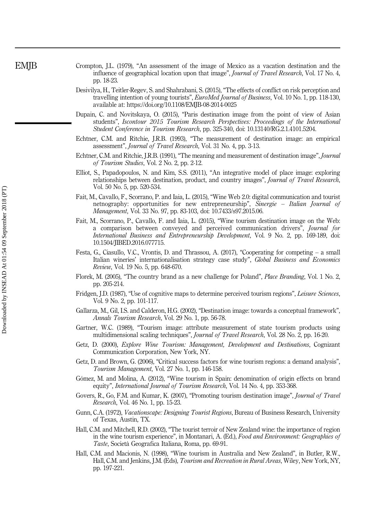- Crompton, J.L. (1979), "An assessment of the image of Mexico as a vacation destination and the influence of geographical location upon that image", Journal of Travel Research, Vol. 17 No. 4, pp. 18-23.
- Desivilya, H., Teitler-Regev, S. and Shahrabani, S. (2015), "The effects of conflict on risk perception and travelling intention of young tourists", EuroMed Journal of Business, Vol. 10 No. 1, pp. 118-130, available at:<https://doi.org/10.1108/EMJB-08-2014-0025>
- Dupain, C. and Novitskaya, O. (2015), "Paris destination image from the point of view of Asian students", Iscontour 2015 Tourism Research Perspectives: Proceedings of the International Student Conference in Tourism Research, pp. 325-340, doi: 10.13140/RG.2.1.4101.5204.
- Echtner, C.M. and Ritchie, J.R.B. (1993), "The measurement of destination image: an empirical assessment", Journal of Travel Research, Vol. 31 No. 4, pp. 3-13.
- Echtner, C.M. and Ritchie, J.R.B. (1991), "The meaning and measurement of destination image", Journal of Tourism Studies, Vol. 2 No. 2, pp. 2-12.
- Elliot, S., Papadopoulos, N. and Kim, S.S. (2011), "An integrative model of place image: exploring relationships between destination, product, and country images", Journal of Travel Research, Vol. 50 No. 5, pp. 520-534.
- Fait, M., Cavallo, F., Scorrano, P. and Iaia, L. (2015), "Wine Web 2.0: digital communication and tourist netnography: opportunities for new entrepreneurship", Sinergie – Italian Journal of Management, Vol. 33 No. 97, pp. 83-103, doi: 10.7433/s97.2015.06.
- Fait, M., Scorrano, P., Cavallo, F. and Iaia, L. (2015), "Wine tourism destination image on the Web: a comparison between conveyed and perceived communication drivers", Journal for International Business and Entrepreneurship Development, Vol. 9 No. 2, pp. 169-189, doi: 10.1504/JIBED.2016.077715.
- Festa, G., Ciasullo, V.C., Vrontis, D. and Thrassou, A. (2017), "Cooperating for competing a small Italian wineries' internationalisation strategy case study", Global Business and Economics Review, Vol. 19 No. 5, pp. 648-670.
- Florek, M. (2005), "The country brand as a new challenge for Poland", *Place Branding*, Vol. 1 No. 2, pp. 205-214.
- Fridgen, J.D. (1987), "Use of cognitive maps to determine perceived tourism regions", Leisure Sciences, Vol. 9 No. 2, pp. 101-117.
- Gallarza, M., Gil, I.S. and Calderon, H.G. (2002), "Destination image: towards a conceptual framework", Annals Tourism Research, Vol. 29 No. 1, pp. 56-78.
- Gartner, W.C. (1989), "Tourism image: attribute measurement of state tourism products using multidimensional scaling techniques", Journal of Travel Research, Vol. 28 No. 2, pp. 16-20.
- Getz, D. (2000), Explore Wine Tourism: Management, Development and Destinations, Cognizant Communication Corporation, New York, NY.
- Getz, D. and Brown, G. (2006), "Critical success factors for wine tourism regions: a demand analysis", Tourism Management, Vol. 27 No. 1, pp. 146-158.
- Gómez, M. and Molina, A. (2012), "Wine tourism in Spain: denomination of origin effects on brand equity", International Journal of Tourism Research, Vol. 14 No. 4, pp. 353-368.
- Govers, R., Go, F.M. and Kumar, K. (2007), "Promoting tourism destination image", Journal of Travel Research, Vol. 46 No. 1, pp. 15-23.
- Gunn, C.A. (1972), Vacationscape: Designing Tourist Regions, Bureau of Business Research, University of Texas, Austin, TX.
- Hall, C.M. and Mitchell, R.D. (2002), "The tourist terroir of New Zealand wine: the importance of region in the wine tourism experience", in Montanari, A. (Ed.), Food and Environment: Geographies of Taste, Società Geografica Italiana, Roma, pp. 69-91.
- Hall, C.M. and Macionis, N. (1998), "Wine tourism in Australia and New Zealand", in Butler, R.W., Hall, C.M. and Jenkins, J.M. (Eds), Tourism and Recreation in Rural Areas, Wiley, New York, NY, pp. 197-221.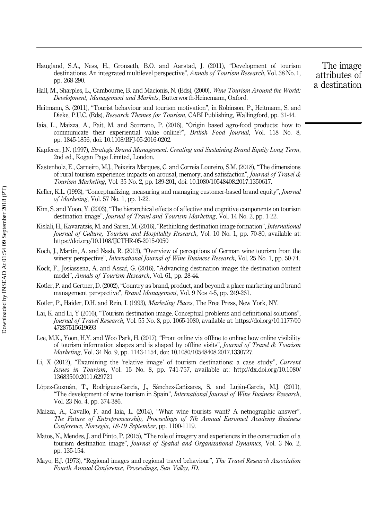- Haugland, S.A., Ness, H., Gronseth, B.O. and Aarstad, J. (2011), "Development of tourism destinations. An integrated multilevel perspective", Annals of Tourism Research, Vol. 38 No. 1, pp. 268-290.
- Hall, M., Sharples, L., Cambourne, B. and Macionis, N. (Eds), (2000), Wine Tourism Around the World: Development, Management and Markets, Butterworth-Heinemann, Oxford.
- Heitmann, S. (2011), "Tourist behaviour and tourism motivation", in Robinson, P., Heitmann, S. and Dieke, P.U.C. (Eds), Research Themes for Tourism, CABI Publishing, Wallingford, pp. 31-44.
- Iaia, L., Maizza, A., Fait, M. and Scorrano, P. (2016), "Origin based agro-food products: how to communicate their experiential value online?", British Food Journal, Vol. 118 No. 8, pp. 1845-1856, doi: 10.1108/BFJ-05-2016-0202.
- Kapferer, J.N. (1997), Strategic Brand Management: Creating and Sustaining Brand Equity Long Term, 2nd ed., Kogan Page Limited, London.
- Kastenholz, E., Carneiro, M.J., Peixeira Marques, C. and Correia Loureiro, S.M. (2018), "The dimensions of rural tourism experience: impacts on arousal, memory, and satisfaction", Journal of Travel  $\&$ Tourism Marketing, Vol. 35 No. 2, pp. 189-201, doi: 10.1080/10548408.2017.1350617.
- Keller, K.L. (1993), "Conceptualizing, measuring and managing customer-based brand equity", *Journal* of Marketing, Vol. 57 No. 1, pp. 1-22.
- Kim, S. and Yoon, Y. (2003), "The hierarchical effects of affective and cognitive components on tourism destination image", *Journal of Travel and Tourism Marketing*, Vol. 14 No. 2, pp. 1-22.
- Kislali, H., Kavaratzis, M. and Saren, M. (2016), "Rethinking destination image formation", *International* Journal of Culture, Tourism and Hospitality Research, Vol. 10 No. 1, pp. 70-80, available at: <https://doi.org/10.1108/IJCTHR-05-2015-0050>
- Koch, J., Martin, A. and Nash, R. (2013), "Overview of perceptions of German wine tourism from the winery perspective", *International Journal of Wine Business Research*, Vol. 25 No. 1, pp. 50-74.
- Kock, F., Josiassena, A. and Assaf, G. (2016), "Advancing destination image: the destination content model", Annals of Tourism Research, Vol. 61, pp. 28-44.
- Kotler, P. and Gertner, D. (2002), "Country as brand, product, and beyond: a place marketing and brand management perspective", Brand Management, Vol. 9 Nos 4-5, pp. 249-261.
- Kotler, P., Haider, D.H. and Rein, I. (1993), Marketing Places, The Free Press, New York, NY.
- Lai, K. and Li, Y (2016), "Tourism destination image. Conceptual problems and definitional solutions", Journal of Travel Research, Vol. 55 No. 8, pp. 1065-1080, available at: [https://doi.org/10.1177/00](https://doi.org/10.1177/0047287515619693) [47287515619693](https://doi.org/10.1177/0047287515619693)
- Lee, M.K., Yoon, H.Y. and Woo Park, H. (2017), "From online via offline to online: how online visibility of tourism information shapes and is shaped by offline visits", Journal of Travel & Tourism Marketing, Vol. 34 No. 9, pp. 1143-1154, doi: 10.1080/10548408.2017.1330727.
- Li, X (2012), "Examining the 'relative image' of tourism destinations: a case study", Current Issues in Tourism, Vol. 15 No. 8, pp. 741-757, available at: [http://dx.doi.org/10.1080/](http://dx.doi.org/10.1080/13683500.2011.629721) [13683500.2011.629721](http://dx.doi.org/10.1080/13683500.2011.629721)
- López-Guzmán, T., Rodríguez-García, J., Sánchez-Cañizares, S. and Luján-García, M.J. (2011), "The development of wine tourism in Spain", International Journal of Wine Business Research, Vol. 23 No. 4, pp. 374-386.
- Maizza, A., Cavallo, F. and Iaia, L. (2014), "What wine tourists want? A netnographic answer" The Future of Entrepreneurship, Proceedings of 7th Annual Euromed Academy Business Conference, Norvegia, 18-19 September, pp. 1100-1119.
- Matos, N., Mendes, J. and Pinto, P. (2015), "The role of imagery and experiences in the construction of a tourism destination image", Journal of Spatial and Organizational Dynamics, Vol. 3 No. 2, pp. 135-154.
- Mayo, E.J. (1973), "Regional images and regional travel behaviour", The Travel Research Association Fourth Annual Conference, Proceedings, Sun Valley, ID.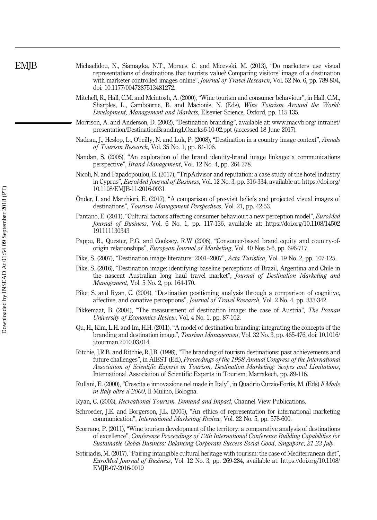- Michaelidou, N., Siamagka, N.T., Moraes, C. and Micevski, M. (2013), "Do marketers use visual representations of destinations that tourists value? Comparing visitors' image of a destination with marketer-controlled images online", Journal of Travel Research, Vol. 52 No. 6, pp. 789-804, doi: 10.1177/0047287513481272.
- Mitchell, R., Hall, C.M. and Mcintosh, A. (2000), "Wine tourism and consumer behaviour", in Hall, C.M., Sharples, L., Cambourne, B. and Macionis, N. (Eds), Wine Tourism Around the World: Development, Management and Markets, Elsevier Science, Oxford, pp. 115-135.
- Morrison, A. and Anderson, D. (2002), "Destination branding", available at: [www.macvb.org/ intranet/](www.macvb.org/ intranet/presentation/DestinationBrandingLOzarks6-10-02.ppt) [presentation/DestinationBrandingLOzarks6-10-02.ppt](www.macvb.org/ intranet/presentation/DestinationBrandingLOzarks6-10-02.ppt) (accessed 18 June 2017).
- Nadeau, J., Heslop, L., O'reilly, N. and Luk, P. (2008), "Destination in a country image context", Annals of Tourism Research, Vol. 35 No. 1, pp. 84-106.
- Nandan, S. (2005), "An exploration of the brand identity-brand image linkage: a communications perspective", Brand Management, Vol. 12 No. 4, pp. 264-278.
- Nicoli, N. and Papadopoulou, E. (2017), "TripAdvisor and reputation: a case study of the hotel industry in Cyprus", EuroMed Journal of Business, Vol. 12 No. 3, pp. 316-334, available at: [https://doi.org/](https://doi.org/10.1108/EMJB-11-2016-0031) [10.1108/EMJB-11-2016-0031](https://doi.org/10.1108/EMJB-11-2016-0031)
- Önder, I. and Marchiori, E. (2017), "A comparison of pre-visit beliefs and projected visual images of destinations", Tourism Management Perspectives, Vol. 21, pp. 42-53.
- Pantano, E. (2011), "Cultural factors affecting consumer behaviour: a new perception model", *EuroMed* Journal of Business, Vol. 6 No. 1, pp. 117-136, available at: [https://doi.org/10.1108/14502](https://doi.org/10.1108/14502191111130343) [191111130343](https://doi.org/10.1108/14502191111130343)
- Pappu, R., Quester, P.G. and Cooksey, R.W (2006), "Consumer-based brand equity and country-oforigin relationships", European Journal of Marketing, Vol. 40 Nos 5-6, pp. 696-717.
- Pike, S. (2007), "Destination image literature: 2001–2007", Acta Turistica, Vol. 19 No. 2, pp. 107-125.
- Pike, S. (2016), "Destination image: identifying baseline perceptions of Brazil, Argentina and Chile in the nascent Australian long haul travel market", Journal of Destination Marketing and Management, Vol. 5 No. 2, pp. 164-170.
- Pike, S. and Ryan, C. (2004), "Destination positioning analysis through a comparison of cognitive, affective, and conative perceptions", Journal of Travel Research, Vol. 2 No. 4, pp. 333-342.
- Pikkemaat, B. (2004), "The measurement of destination image: the case of Austria", The Poznan University of Economics Review, Vol. 4 No. 1, pp. 87-102.
- Qu, H., Kim, L.H. and Im, H.H. (2011), "A model of destination branding: integrating the concepts of the branding and destination image", Tourism Management, Vol. 32 No. 3, pp. 465-476, doi: 10.1016/ j.tourman.2010.03.014.
- Ritchie, J.R.B. and Ritchie, R.J.B. (1998), "The branding of tourism destinations: past achievements and future challenges", in AIEST (Ed.), Proceedings of the 1998 Annual Congress of the International Association of Scientific Experts in Tourism, Destination Marketing: Scopes and Limitations, International Association of Scientific Experts in Tourism, Marrakech, pp. 89-116.
- Rullani, E. (2000), "Crescita e innovazione nel made in Italy", in Quadrio Curzio-Fortis, M. (Eds) Il Made in Italy oltre il 2000, Il Mulino, Bologna.
- Ryan, C. (2003), Recreational Tourism. Demand and Impact, Channel View Publications.
- Schroeder, J.E. and Borgerson, J.L. (2005), "An ethics of representation for international marketing communication", International Marketing Review, Vol. 22 No. 5, pp. 578-600.
- Scorrano, P. (2011), "Wine tourism development of the territory: a comparative analysis of destinations of excellence", Conference Proceedings of 12th International Conference Building Capabilities for Sustainable Global Business: Balancing Corporate Success Social Good, Singapore, 21-23 July.
- Sotiriadis, M. (2017), "Pairing intangible cultural heritage with tourism: the case of Mediterranean diet", EuroMed Journal of Business, Vol. 12 No. 3, pp. 269-284, available at: [https://doi.org/10.1108/](https://doi.org/10.1108/EMJB-07-2016-0019) [EMJB-07-2016-0019](https://doi.org/10.1108/EMJB-07-2016-0019)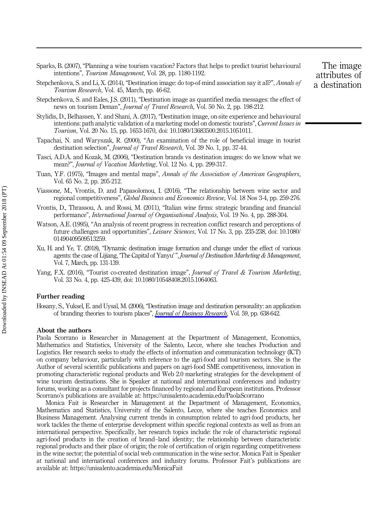Sparks, B. (2007), "Planning a wine tourism vacation? Factors that helps to predict tourist behavioural intentions", Tourism Management, Vol. 28, pp. 1180-1192.

- Stepchenkova, S. and Li, X. (2014), "Destination image: do top-of-mind association say it all?", Annals of Tourism Research, Vol. 45, March, pp. 46-62.
- Stepchenkova, S. and Eales, J.S. (2011), "Destination image as quantified media messages: the effect of news on tourism Deman", Journal of Travel Research, Vol. 50 No. 2, pp. 198-212.
- Stylidis, D., Belhassen, Y. and Shani, A. (2017), "Destination image, on-site experience and behavioural intentions: path analytic validation of a marketing model on domestic tourists", Current Issues in Tourism, Vol. 20 No. 15, pp. 1653-1670, doi: 10.1080/13683500.2015.1051011.
- Tapachai, N. and Waryszak, R. (2000), "An examination of the role of beneficial image in tourist destination selection", Journal of Travel Research, Vol. 39 No. 1, pp. 37-44.
- Tasci, A.D.A. and Kozak, M. (2006), "Destination brands vs destination images: do we know what we mean?", Journal of Vacation Marketing, Vol. 12 No. 4, pp. 299-317.
- Tuan, Y.F. (1975), "Images and mental maps", Annals of the Association of American Geographers, Vol. 65 No. 2, pp. 205-212.
- Viassone, M., Vrontis, D. and Papasolomou, I. (2016), "The relationship between wine sector and regional competitiveness", Global Business and Economics Review, Vol. 18 Nos 3-4, pp. 259-276.
- Vrontis, D., Thrassou, A. and Rossi, M. (2011), "Italian wine firms: strategic branding and financial performance", International Journal of Organisational Analysis, Vol. 19 No. 4, pp. 288-304.
- Watson, A.E. (1995), "An analysis of recent progress in recreation conflict research and perceptions of future challenges and opportunities", Leisure Sciences, Vol. 17 No. 3, pp. 235-238, doi: 10.1080/ 01490409509513259.
- Xu, H. and Ye, T. (2018), "Dynamic destination image formation and change under the effect of various agents: the case of Lijiang, 'The Capital of Yanyu'", Journal of Destination Marketing & Management, Vol. 7, March, pp. 131-139.
- Yang, F.X. (2016), "Tourist co-created destination image", *Journal of Travel & Tourism Marketing*, Vol. 33 No. 4, pp. 425-439, doi: 10.1080/10548408.2015.1064063.

#### Further reading

Hosany, S., Yuksel, E. and Uysal, M. (2006), "Destination image and destination personality: an application of branding theories to tourism places", *[Journal of Business Research](https://www.emeraldinsight.com/action/showLinks?doi=10.1108%2FEMJB-11-2017-0045&crossref=10.1016%2Fj.jbusres.2006.01.001&isi=000236659500013&citationId=p_14)*, Vol. 59, pp. 638-642.

#### About the authors

Paola Scorrano is Researcher in Management at the Department of Management, Economics, Mathematics and Statistics, University of the Salento, Lecce, where she teaches Production and Logistics. Her research seeks to study the effects of information and communication technology (ICT) on company behaviour, particularly with reference to the agri-food and tourism sectors. She is the Author of several scientific publications and papers on agri-food SME competitiveness, innovation in promoting characteristic regional products and Web 2.0 marketing strategies for the development of wine tourism destinations. She is Speaker at national and international conferences and industry forums, working as a consultant for projects financed by regional and European institutions. Professor Scorrano's publications are available at: https://unisalento.academia.edu/PaolaScorrano

Monica Fait is Researcher in Management at the Department of Management, Economics, Mathematics and Statistics, University of the Salento, Lecce, where she teaches Economics and Business Management. Analysing current trends in consumption related to agri-food products, her work tackles the theme of enterprise development within specific regional contexts as well as from an international perspective. Specifically, her research topics include: the role of characteristic regional agri-food products in the creation of brand–land identity; the relationship between characteristic regional products and their place of origin; the role of certification of origin regarding competitiveness in the wine sector; the potential of social web communication in the wine sector. Monica Fait is Speaker at national and international conferences and industry forums. Professor Fait's publications are available at: https://unisalento.academia.edu/MonicaFait